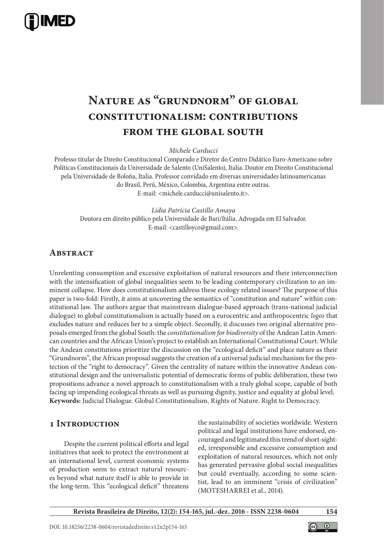

# **Nature as "grundnorm" of global constitutionalism: contributions from the global south**

*Michele Carducci*

Professo titular de Direito Constitucional Comparado e Diretor do Centro Didático Euro-Americano sobre Políticas Constitucionais da Universidade de Salento (UniSalento), Italia. Doutor em Direito Constitucional pela Universidade de Boloña, Italia. Professor convidado em diversas universidades latinoamericanas do Brasil, Perú, México, Colombia, Argentina entre outras. E-mail: <michele.carducci@unisalento.it>.

*Lídia Patrícia Castillo Amaya* Doutora em direito público pela Universidade de Bari/Itália. Advogada em El Salvador. E-mail: <castilloyco@gmail.com>.

### **Abstract**

Unrelenting consumption and excessive exploitation of natural resources and their interconnection with the intensification of global inequalities seem to be leading contemporary civilization to an imminent collapse. How does constitutionalism address these ecology related issues? The purpose of this paper is two-fold: Firstly, it aims at uncovering the semantics of "constitution and nature" within constitutional law. The authors argue that mainstream dialogue-based approach (trans-national judicial dialogue) to global constitutionalism is actually based on a eurocentric and anthropocentric *logos* that excludes nature and reduces her to a simple object. Secondly, it discusses two original alternative proposals emerged from the global South: the *constitutionalism for biodiversity* of the Andean Latin American countries and the African Union's project to establish an International Constitutional Court. While the Andean constitutions prioritize the discussion on the "ecological deficit" and place nature as their "Grundnorm", the African proposal suggests the creation of a universal judicial mechanism for the protection of the "right to democracy". Given the centrality of nature within the innovative Andean constitutional design and the universalistic potential of democratic forms of public deliberation, these two propositions advance a novel approach to constitutionalism with a truly global scope, capable of both facing up impending ecological threats as well as pursuing dignity, justice and equality at global level. **Keywords:** Judicial Dialogue. Global Constitutionalism. Rights of Nature. Right to Democracy.

#### **1 Introduction**

Despite the current political efforts and legal initiatives that seek to protect the environment at an international level, current economic systems of production seem to extract natural resources beyond what nature itself is able to provide in the long-term. This "ecological deficit" threatens the sustainability of societies worldwide. Western political and legal institutions have endorsed, encouraged and legitimated this trend of short-sighted, irresponsible and excessive consumption and exploitation of natural resources, which not only has generated pervasive global social inequalities but could eventually, according to some scientist, lead to an imminent "crisis of civilization" (MOTESHARREI et al., 2014).

**Revista Brasileira de Direito, 12(2): 154-165, jul.-dez. 2016 - ISSN 2238-0604**



**154**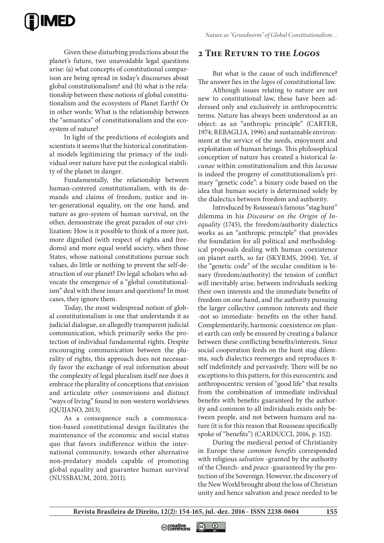

Given these disturbing predictions about the planet's future, two unavoidable legal questions arise: (a) what concepts of constitutional comparison are being spread in today's discourses about global constitutionalism? and (b) what is the relationship between these notions of global constitutionalism and the ecosystem of Planet Earth? Or in other words: What is the relationship between the "semantics" of constitutionalism and the ecosystem of nature?

In light of the predictions of ecologists and scientists it seems that the historical constitutional models legitimizing the primacy of the individual over nature have put the ecological stability of the planet in danger.

Fundamentally, the relationship between human-centered constitutionalism, with its demands and claims of freedom, justice and inter-generational equality, on the one hand, and nature as geo-system of human survival, on the other, demonstrate the great paradox of our civilization: How is it possible to think of a more just, more dignified (with respect of rights and freedoms) and more equal world society, when those States, whose national constitutions pursue such values, do little or nothing to prevent the self-destruction of our planet? Do legal scholars who advocate the emergence of a "global constitutionalism" deal with these issues and questions? In most cases, they ignore them.

Today, the most widespread notion of global constitutionalism is one that understands it as judicial dialogue, an allegedly transparent judicial communication, which primarily seeks the protection of individual fundamental rights. Despite encouraging communication between the plurality of rights, this approach does not necessarily favor the exchange of real information about the complexity of legal pluralism itself nor does it embrace the plurality of conceptions that envision and articulate *other* cosmovisions and distinct "ways of living" found in non-western worldviews (QUIJANO, 2013).

As a consequence such a communication-based constitutional design facilitates the maintenance of the economic and social status quo that favors indifference within the international community, towards other alternative non-predatory models capable of promoting global equality and guarantee human survival (NUSSBAUM, 2010, 2011).

### **2 The Return to the** *Logos*

But what is the cause of such indifference? The answer lies in the *logos* of constitutional law.

Although issues relating to nature are not new to constitutional law, these have been addressed only and exclusively in anthropocentric terms. Nature has always been understood as an object: as an "anthropic principle" (CARTER, 1974; REBAGLIA, 1996) and sustainable environment at the service of the needs, enjoyment and exploitation of human beings. This philosophical conception of nature has created a historical *lacunae* within constitutionalism and this *lacunae* is indeed the progeny of constitutionalism's primary "genetic code": a binary code based on the idea that human society is determined solely by the dialectics between freedom and authority.

Introduced by Rousseau's famous "stag hunt" dilemma in his *Discourse on the Origin of Inequality* (1745), the freedom/authority dialectics works as an "anthropic principle" that provides the foundation for all political and methodological proposals dealing with human coexistence on planet earth, so far (SKYRMS, 2004). Yet, if the "genetic code" of the secular condition is binary (freedom/authority) the tension of conflict will inevitably arise, between individuals seeking their own interests and the immediate benefits of freedom on one hand, and the authority pursuing the larger collective common interests and their -not so immediate- benefits on the other hand. Complementarily, harmonic coexistence on planet earth can only be ensured by creating a balance between these conflicting benefits/interests. Since social cooperation feeds on the hunt stag dilemma, such dialectics reemerges and reproduces itself indefinitely and pervasively. There will be no exceptions to this pattern, for this eurocentric and anthropocentric version of "good life" that results from the combination of immediate individual benefits with benefits guaranteed by the authority and common to all individuals exists only between people, and not between humans and nature (it is for this reason that Rousseau specifically spoke of "benefits") (CARDUCCI, 2016, p. 152).

During the medieval period of Christianity in Europe these *common benefits* corresponded with religious *salvation* -granted by the authority of the Church- and *peace* -guaranteed by the protection of the Sovereign. However, the discovery of the New World brought about the loss of Christian unity and hence salvation and peace needed to be

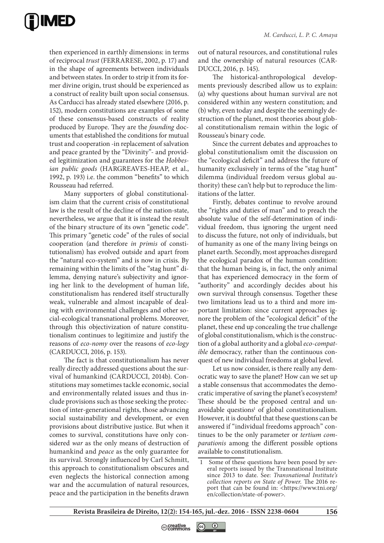

then experienced in earthly dimensions: in terms of reciprocal *trust* (FERRARESE, 2002, p. 17) and in the shape of agreements between individuals and between states. In order to strip it from its former divine origin, trust should be experienced as a construct of reality built upon social consensus. As Carducci has already stated elsewhere (2016, p. 152), modern constitutions are examples of some of these consensus-based constructs of reality produced by Europe. They are the *founding* documents that established the conditions for mutual trust and cooperation -in replacement of salvation and peace granted by the "Divinity"- and provided legitimization and guarantees for the *Hobbesian public goods* (HARGREAVES-HEAP, et al., 1992, p. 193) i.e. the common "benefits" to which Rousseau had referred.

Many supporters of global constitutionalism claim that the current crisis of constitutional law is the result of the decline of the nation-state, nevertheless, we argue that it is instead the result of the binary structure of its own "genetic code". This primary "genetic code" of the rules of social cooperation (and therefore *in primis* of constitutionalism) has evolved outside and apart from the "natural eco-system" and is now in crisis. By remaining within the limits of the "stag hunt" dilemma, denying nature's subjectivity and ignoring her link to the development of human life, constitutionalism has rendered itself structurally weak, vulnerable and almost incapable of dealing with environmental challenges and other social-ecological transnational problems. Moreover, through this objectivization of nature constitutionalism continues to legitimize and justify the reasons of *eco-nomy* over the reasons of *eco-logy*  (CARDUCCI, 2016, p. 153).

The fact is that constitutionalism has never really directly addressed questions about the survival of humankind (CARDUCCI, 2014b). Constitutions may sometimes tackle economic, social and environmentally related issues and thus include provisions such as those seeking the protection of inter-generational rights, those advancing social sustainability and development, or even provisions about distributive justice. But when it comes to survival, constitutions have only considered *war* as the only means of destruction of humankind and *peace* as the only guarantee for its survival. Strongly influenced by Carl Schmitt, this approach to constitutionalism obscures and even neglects the historical connection among war and the accumulation of natural resources, peace and the participation in the benefits drawn out of natural resources, and constitutional rules and the ownership of natural resources (CAR-DUCCI, 2016, p. 145).

The historical-anthropological developments previously described allow us to explain: (a) why questions about human survival are not considered within any western constitution; and (b) why, even today and despite the seemingly destruction of the planet, most theories about global constitutionalism remain within the logic of Rousseau's binary code.

Since the current debates and approaches to global constitutionalism omit the discussion on the "ecological deficit" and address the future of humanity exclusively in terms of the "stag hunt" dilemma (individual freedom versus global authority) these can't help but to reproduce the limitations of the latter.

Firstly, debates continue to revolve around the "rights and duties of man" and to preach the absolute value of the self-determination of individual freedom, thus ignoring the urgent need to discuss the future, not only of individuals, but of humanity as one of the many living beings on planet earth. Secondly, most approaches disregard the ecological paradox of the human condition: that the human being is, in fact, the only animal that has experienced democracy in the form of "authority" and accordingly decides about his own survival through consensus. Together these two limitations lead us to a third and more important limitation: since current approaches ignore the problem of the "ecological deficit" of the planet, these end up concealing the true challenge of global constitutionalism, which is the construction of a global authority and a global *eco-compatible* democracy, rather than the continuous conquest of new individual freedoms at global level.

Let us now consider, is there really any democratic way to save the planet? How can we set up a stable consensus that accommodates the democratic imperative of saving the planet's ecosystem? These should be the proposed central and unavoidable questions<sup>1</sup> of global constitutionalism. However, it is doubtful that these questions can be answered if "individual freedoms approach" continues to be the only parameter or *tertium comparationis* among the different possible options available to constitutionalism.

 © creative<br> **○** commons  $\left($ 

<sup>1</sup> Some of these questions have been posed by several reports issued by the Transnational Institute since 2013 to date. See: *Transnational Institute's collection reports on State of Power.* The 2016 report that can be found in: <https://www.tni.org/ en/collection/state-of-power>.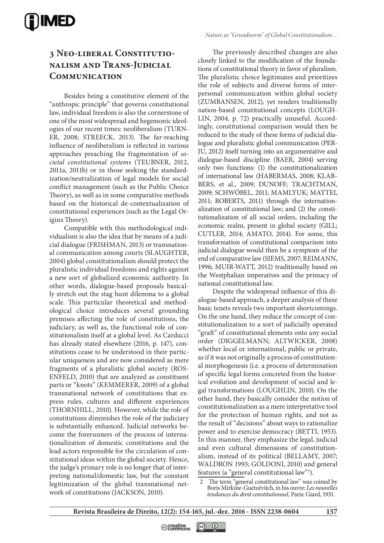## **3 Neo-liberal Constitutionalism and Trans-Judicial Communication**

Besides being a constitutive element of the "anthropic principle" that governs constitutional law, individual freedom is also the cornerstone of one of the most widespread and hegemonic ideologies of our recent times: neoliberalism (TURN-ER, 2008; STREECK, 2013). The far-reaching influence of neoliberalism is reflected in various approaches preaching the fragmentation of *societal constitutional systems* (TEUBNER, 2012, 2011a, 2011b) or in those seeking the standardization/neutralization of legal models for social conflict management (such as the Public Choice Theory), as well as in some comparative methods based on the historical de-contextualization of constitutional experiences (such as the Legal Origins Theory).

Compatible with this methodological individualism is also the idea that by means of a judicial dialogue (FRISHMAN, 2013) or transnational communication among courts (SLAUGHTER, 2004) global constitutionalism should protect the pluralistic individual freedoms and rights against a new sort of globalized economic authority. In other words, dialogue-based proposals basically stretch out the stag hunt dilemma to a global scale. This particular theoretical and methodological choice introduces several grounding premises affecting the role of constitutions, the judiciary, as well as, the functional role of constitutionalism itself at a global level. As Carducci has already stated elsewhere (2016, p. 147), constitutions cease to be understood in their particular uniqueness and are now considered as mere fragments of a pluralistic global society (ROS-ENFELD, 2010) that are analyzed as constituent parts or "knots" (KEMMERER, 2009) of a global transnational network of constitutions that express rules, cultures and different experiences (THORNHILL, 2010). However, while the role of constitutions diminishes the role of the judiciary is substantially enhanced. Judicial networks become the forerunners of the process of internationalization of domestic constitutions and the lead actors responsible for the circulation of constitutional ideas within the global society. Hence, the judge's primary role is no longer that of interpreting national/domestic law, but the constant legitimization of the global transnational network of constitutions (JACKSON, 2010).

The previously described changes are also closely linked to the modification of the foundations of constitutional theory in favor of pluralism. The pluralistic choice legitimates and prioritizes the role of subjects and diverse forms of interpersonal communication within global society (ZUMBANSEN, 2012), yet renders traditionally nation-based constitutional concepts (LOUGH-LIN, 2004, p. 72) practically unuseful. Accordingly, constitutional comparison would then be reduced to the study of these forms of judicial dialogue and pluralistic global communication (PER-JU, 2012) itself turning into an argumentative and dialogue-based discipline (BAER, 2004) serving only two functions: (1) the constitutionalization of international law (HABERMAS, 2008; KLAB-BERS, et al., 2009; DUNOFF; TRACHTMAN, 2009; SCHWÖBEL, 2011; MAMLYUK; MATTEI, 2011; ROBERTS, 2011) through the internationalization of constitutional law; and (2) the constitutionalization of all social orders, including the economic realm, present in global society (GILL; CUTLER, 2014; AMATO, 2014). For some, this transformation of constitutional comparison into judicial dialogue would then be a symptom of the end of comparative law (SIEMS, 2007; REIMANN, 1996; MUIR-WATT, 2012) traditionally based on the Westphalian imperatives and the primacy of national constitutional law.

Despite the widespread influence of this dialogue-based approach, a deeper analysis of these basic tenets reveals two important shortcomings. On the one hand, they reduce the concept of constitutionalization to a sort of judicially operated "graft" of constitutional elements onto any social order (DIGGELMANN; ALTWICKER, 2008) whether local or international, public or private, as if it was not originally a process of constitutional morphogenesis (i.e. a process of determination of specific legal forms concreted from the historical evolution and development of social and legal transformations (LOUGHLIN, 2010). On the other hand, they basically consider the notion of constitutionalization as a mere interpretative tool for the protection of human rights, and not as the result of "decisions" about ways to rationalize power and to exercise democracy (BETTI, 1953). In this manner, they emphasize the legal, judicial and even cultural dimensions of constitutionalism, instead of its political (BELLAMY, 2007; WALDRON 1993; GOLDONI, 2010) and general features (a "general constitutional law"2 ).



<sup>2</sup> The term "general constitutional law" was coined by Boris Mirkine-Guetzévitch, in his ouvre: *Les nouvelles tendances du droit constitutionnel,* Paris: Giard, 1931.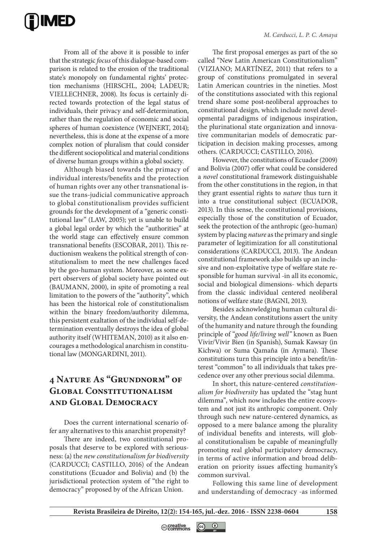

From all of the above it is possible to infer that the strategic *focus* of this dialogue-based comparison is related to the erosion of the traditional state's monopoly on fundamental rights' protection mechanisms (HIRSCHL, 2004; LADEUR; VIELLECHNER, 2008). Its focus is certainly directed towards protection of the legal status of individuals, their privacy and self-determination, rather than the regulation of economic and social spheres of human coexistence (WEJNERT, 2014); nevertheless, this is done at the expense of a more complex notion of pluralism that could consider the different sociopolitical and material conditions of diverse human groups within a global society.

Although biased towards the primacy of individual interests/benefits and the protection of human rights over any other transnational issue the trans-judicial communicative approach to global constitutionalism provides sufficient grounds for the development of a "generic constitutional law" (LAW, 2005); yet is unable to build a global legal order by which the "authorities" at the world stage can effectively ensure common transnational benefits (ESCOBAR, 2011). This reductionism weakens the political strength of constitutionalism to meet the new challenges faced by the geo-human system. Moreover, as some expert observers of global society have pointed out (BAUMANN, 2000), in spite of promoting a real limitation to the powers of the "authority", which has been the historical role of constitutionalism within the binary freedom/authority dilemma, this persistent exaltation of the individual self-determination eventually destroys the idea of global authority itself (WHITEMAN, 2010) as it also encourages a methodological anarchism in constitutional law (MONGARDINI, 2011).

# **4 Nature As "Grundnorm" of Global Constitutionalism and Global Democracy**

Does the current international scenario offer any alternatives to this anarchist propensity?

There are indeed, two constitutional proposals that deserve to be explored with seriousness: (a) the *new constitutionalism for biodiversity*  (CARDUCCI; CASTILLO, 2016) of the Andean constitutions (Ecuador and Bolivia) and (b) the jurisdictional protection system of "the right to democracy" proposed by of the African Union.

The first proposal emerges as part of the so called "New Latin American Constitutionalism" (VIZIANO; MARTÍNEZ, 2011) that refers to a group of constitutions promulgated in several Latin American countries in the nineties. Most of the constitutions associated with this regional trend share some post-neoliberal approaches to constitutional design, which include novel developmental paradigms of indigenous inspiration, the plurinational state organization and innovative communitarian models of democratic participation in decision making processes, among others. (CARDUCCI; CASTILLO, 2016).

However, the constitutions of Ecuador (2009) and Bolivia (2007) offer what could be considered a *novel* constitutional framework distinguishable from the other constitutions in the region, in that they grant essential rights to *nature* thus turn it into a true constitutional subject (ECUADOR, 2013). In this sense, the constitutional provisions, especially those of the constitution of Ecuador, seek the protection of the anthropic (geo-human) system by placing *nature* as the primary and single parameter of legitimization for all constitutional considerations (CARDUCCI, 2013). The Andean constitutional framework also builds up an inclusive and non-exploitative type of welfare state responsible for human survival -in all its economic, social and biological dimensions- which departs from the classic individual centered neoliberal notions of welfare state (BAGNI, 2013).

Besides acknowledging human cultural diversity, the Andean constitutions assert the unity of the humanity and nature through the founding principle of "*good life/living well"* known as Buen Vivir/Vivir Bien (in Spanish), Sumak Kawsay (in Kichwa) or Suma Qamaña (in Aymara). These constitutions turn this principle into a benefit/interest "common" to all individuals that takes precedence over any other previous social dilemma.

In short, this nature-centered *constitutionalism for biodiversity* has updated the "stag hunt dilemma", which now includes the entire ecosystem and not just its anthropic component. Only through such new nature-centered dynamics, as opposed to a mere balance among the plurality of individual benefits and interests, will global constitutionalism be capable of meaningfully promoting real global participatory democracy, in terms of active information and broad deliberation on priority issues affecting humanity's common survival.

Following this same line of development and understanding of democracy -as informed

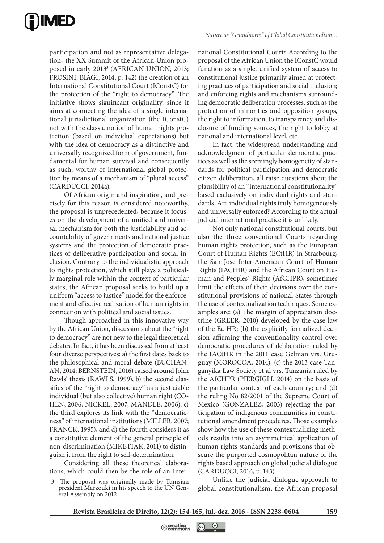

participation and not as representative delegation- the XX Summit of the African Union proposed in early 2013<sup>3</sup> (AFRICAN UNION, 2013; FROSINI; BIAGI, 2014, p. 142) the creation of an International Constitutional Court (IConstC) for the protection of the "right to democracy". The initiative shows significant originality, since it aims at connecting the idea of a single international jurisdictional organization (the IConstC) not with the classic notion of human rights protection (based on individual expectations) but with the idea of democracy as a distinctive and universally recognized form of government, fundamental for human survival and consequently as such, worthy of international global protection by means of a mechanism of "plural access" (CARDUCCI, 2014a).

Of African origin and inspiration, and precisely for this reason is considered noteworthy, the proposal is unprecedented, because it focuses on the development of a unified and universal mechanism for both the justiciability and accountability of governments and national justice systems and the protection of democratic practices of deliberative participation and social inclusion. Contrary to the individualistic approach to rights protection, which still plays a politically marginal role within the context of particular states, the African proposal seeks to build up a uniform "access to justice" model for the enforcement and effective realization of human rights in connection with political and social issues.

Though approached in this innovative way by the African Union, discussions about the "right to democracy" are not new to the legal theoretical debates. In fact, it has been discussed from at least four diverse perspectives: a) the first dates back to the philosophical and moral debate (BUCHAN-AN, 2014; BERNSTEIN, 2016) raised around John Rawls' thesis (RAWLS, 1999), b) the second classifies of the "right to democracy" as a justiciable individual (but also collective) human right (CO-HEN, 2006; NICKEL, 2007; MANDLE, 2006), c) the third explores its link with the "democraticness" of international institutions (MILLER, 2007; FRANCK, 1995), and d) the fourth considers it as a constitutive element of the general principle of non-discrimination (MIKETIAK, 2011) to distinguish it from the right to self-determination.

Considering all these theoretical elaborations, which could then be the role of an International Constitutional Court? According to the proposal of the African Union the IConstC would function as a single, unified system of access to constitutional justice primarily aimed at protecting practices of participation and social inclusion; and enforcing rights and mechanisms surrounding democratic deliberation processes, such as the protection of minorities and opposition groups, the right to information, to transparency and disclosure of funding sources, the right to lobby at national and international level, etc.

In fact, the widespread understanding and acknowledgment of particular democratic practices as well as the seemingly homogeneity of standards for political participation and democratic citizen deliberation, all raise questions about the plausibility of an "international constitutionality" based exclusively on individual rights and standards. Are individual rights truly homogeneously and universally enforced? According to the actual judicial international practice it is unlikely.

Not only national constitutional courts, but also the three conventional Courts regarding human rights protection, such as the European Court of Human Rights (ECtHR) in Strasbourg, the San Jose Inter-American Court of Human Rights (IACtHR) and the African Court on Human and Peoples` Rights (AfCHPR), sometimes limit the effects of their decisions over the constitutional provisions of national States through the use of contextualization techniques. Some examples are: (a) The margin of appreciation doctrine (GREER, 2010) developed by the case law of the EctHR; (b) the explicitly formalized decision affirming the conventionality control over democratic procedures of deliberation ruled by the IACtHR in the 2011 case Gelman vrs. Uruguay (MOROCOA, 2014); (c) the 2013 case Tanganyika Law Society et al vrs. Tanzania ruled by the AfCHPR (PIERGIGLI, 2014) on the basis of the particular context of each country; and (d) the ruling No 82/2001 of the Supreme Court of Mexico (GONZALEZ, 2003) rejecting the participation of indigenous communities in constitutional amendment procedures. Those examples show how the use of these contextualizing methods results into an asymmetrical application of human rights standards and provisions that obscure the purported cosmopolitan nature of the rights based approach on global judicial dialogue (CARDUCCI, 2016, p. 143).

Unlike the judicial dialogue approach to global constitutionalism, the African proposal

The proposal was originally made by Tunisian president Marzouki in his speech to the UN Gen- eral Assembly on 2012.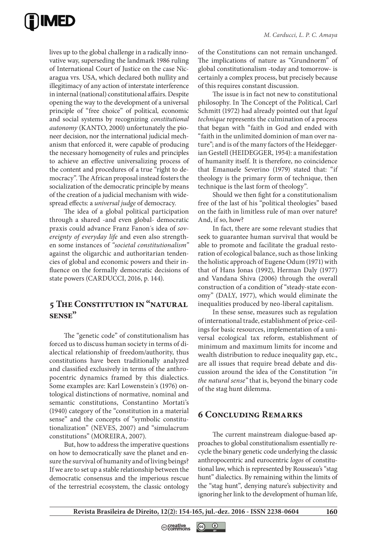

lives up to the global challenge in a radically innovative way, superseding the landmark 1986 ruling of International Court of Justice on the case Nicaragua vrs. USA, which declared both nullity and illegitimacy of any action of interstate interference in internal (national) constitutional affairs. Despite opening the way to the development of a universal principle of "free choice" of political, economic and social systems by recognizing *constitutional autonomy* (KANTO, 2000) unfortunately the pioneer decision, nor the international judicial mechanism that enforced it, were capable of producing the necessary homogeneity of rules and principles to achieve an effective universalizing process of the content and procedures of a true "right to democracy". The African proposal instead fosters the socialization of the democratic principle by means of the creation of a judicial mechanism with widespread effects: a *universal judge* of democracy.

The idea of a global political participation through a shared -and even global- democratic praxis could advance Franz Fanon´s idea of *sovereignty of everyday life* and even also strengthen some instances of *"societal constitutionalism"* against the oligarchic and authoritarian tendencies of global and economic powers and their influence on the formally democratic decisions of state powers (CARDUCCI, 2016, p. 144).

## **5 The Constitution in "natural sense"**

The "genetic code" of constitutionalism has forced us to discuss human society in terms of dialectical relationship of freedom/authority, thus constitutions have been traditionally analyzed and classified exclusively in terms of the anthropocentric dynamics framed by this dialectics. Some examples are: Karl Lowenstein´s (1976) ontological distinctions of normative, nominal and semantic constitutions, Constantino Mortati's (1940) category of the "constitution in a material sense" and the concepts of "symbolic constitutionalization" (NEVES, 2007) and "simulacrum constitutions" (MOREIRA, 2007).

But, how to address the imperative questions on how to democratically save the planet and ensure the survival of humanity and of living beings? If we are to set up a stable relationship between the democratic consensus and the imperious rescue of the terrestrial ecosystem, the classic ontology

of the Constitutions can not remain unchanged. The implications of nature as "Grundnorm" of global constitutionalism -today and tomorrow- is certainly a complex process, but precisely because of this requires constant discussion.

The issue is in fact not new to constitutional philosophy. In The Concept of the Political, Carl Schmitt (1972) had already pointed out that *legal technique* represents the culmination of a process that began with "faith in God and ended with "faith in the unlimited dominion of man over nature"; and is of the many factors of the Heideggerian Gestell (HEIDEGGER, 1954): a manifestation of humanity itself. It is therefore, no coincidence that Emanuele Severino (1979) stated that: "if theology is the primary form of technique, then technique is the last form of theology".

Should we then fight for a constitutionalism free of the last of his "political theologies" based on the faith in limitless rule of man over nature? And, if so, how?

In fact, there are some relevant studies that seek to guarantee human survival that would be able to promote and facilitate the gradual restoration of ecological balance, such as those linking the holistic approach of Eugene Odum (1971) with that of Hans Jonas (1992), Herman Daly (1977) and Vandana Shiva (2006) through the overall construction of a condition of "steady-state economy" (DALY, 1977), which would eliminate the inequalities produced by neo-liberal capitalism.

In these sense, measures such as regulation of international trade, establishment of price-ceilings for basic resources, implementation of a universal ecological tax reform, establishment of minimum and maximum limits for income and wealth distribution to reduce inequality gap, etc., are all issues that require bread debate and discussion around the idea of the Constitution *"in the natural sense"* that is, beyond the binary code of the stag hunt dilemma.

## **6 Concluding Remarks**

The current mainstream dialogue-based approaches to global constitutionalism essentially recycle the binary genetic code underlying the classic anthropocentric and eurocentric *logos* of constitutional law, which is represented by Rousseau's "stag hunt" dialectics. By remaining within the limits of the "stag hunt", denying nature's subjectivity and ignoring her link to the development of human life,

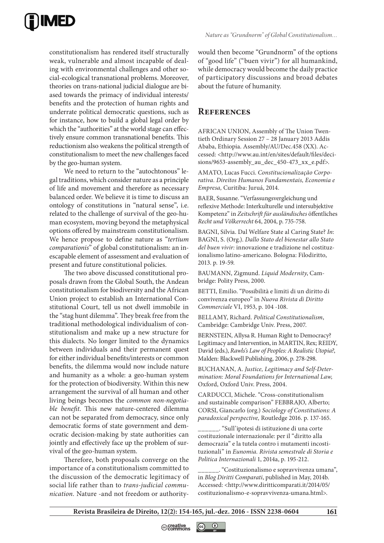

constitutionalism has rendered itself structurally weak, vulnerable and almost incapable of dealing with environmental challenges and other social-ecological transnational problems. Moreover, theories on trans-national judicial dialogue are biased towards the primacy of individual interests/ benefits and the protection of human rights and underrate political democratic questions, such as for instance, how to build a global legal order by which the "authorities" at the world stage can effectively ensure common transnational benefits. This reductionism also weakens the political strength of constitutionalism to meet the new challenges faced by the geo-human system.

We need to return to the "autochtonous" legal traditions, which consider nature as a principle of life and movement and therefore as necessary balanced order. We believe it is time to discuss an ontology of constitutions in "natural sense", i.e. related to the challenge of survival of the geo-human ecosystem, moving beyond the metaphysical options offered by mainstream constitutionalism. We hence propose to define nature as "*tertium comparationis*" of global constitutionalism: an inescapable element of assessment and evaluation of present and future constitutional policies.

The two above discussed constitutional proposals drawn from the Global South, the Andean constitutionalism for biodiversity and the African Union project to establish an International Constitutional Court, tell us not dwell immobile in the "stag hunt dilemma". They break free from the traditional methodological individualism of constitutionalism and make up a new structure for this dialects. No longer limited to the dynamics between individuals and their permanent quest for either individual benefits/interests or common benefits, the dilemma would now include nature and humanity as a whole: a geo-human system for the protection of biodiversity. Within this new arrangement the survival of all human and other living beings becomes the *common non-negotiable benefit*. This new nature-centered dilemma can not be separated from democracy, since only democratic forms of state government and democratic decision-making by state authorities can jointly and effectively face up the problem of survival of the geo-human system.

Therefore, both proposals converge on the importance of a constitutionalism committed to the discussion of the democratic legitimacy of social life rather than to *trans-judicial communication.* Nature -and not freedom or authoritywould then become "Grundnorm" of the options of "good life" ("buen vivir") for all humankind, while democracy would become the daily practice of participatory discussions and broad debates about the future of humanity.

#### **References**

AFRICAN UNION, Assembly of The Union Twentieth Ordinary Session 27 – 28 January 2013 Addis Ababa, Ethiopia. Assembly/AU/Dec.458 (XX). Accessed: <http://www.au.int/en/sites/default/files/decisions/9653-assembly\_au\_dec\_450-473\_xx\_e.pdf>.

AMATO, Lucas Fucci. *Constitucionalização Corporativa. Direitos Humanos Fundamentais, Economia e Empresa,* Curitiba: Juruá, 2014.

BAER, Susanne. "Verfassungsvergleichung und reflexive Methode: Interkulturelle und intersubjektive Kompetenz" in *Zeitschrift für ausländisches* öffentliches *Recht und Völkerrecht* 64, 2004, p. 735-758.

BAGNI, Silvia. Dal Welfare State al Caring State? *In*: BAGNI, S. (Org.). *Dallo Stato del bienestar allo Stato del buen vivir:* innovazione e tradizione nel costituzionalismo latino-americano. Bologna: Filodiritto, 2013. p. 19-59.

BAUMANN, Zigmund. *Liquid Modernity*, Cambridge: Polity Press, 2000.

BETTI, Emilio. "Possibilità e limiti di un diritto di convivenza europeo" in *Nuova Rivista di Diritto Commerciale* VI, 1953, p. 104 -108.

BELLAMY, Richard. *Political Constitutionalism*, Cambridge: Cambridge Univ. Press, 2007.

BERNSTEIN, Allysa R. Human Right to Democracy? Legitimacy and Intervention, in MARTIN, Rex; REIDY, David (eds.), *Rawls's Law of Peoples: A Realistic Utopia?*, Malden: Blackwell Publishing, 2006, p. 278-298.

BUCHANAN, A. *Justice, Legitimacy and Self-Determination: Moral Foundations for International Law,* Oxford, Oxford Univ. Press, 2004.

CARDUCCI, Michele. "Cross-constitutionalism and sustainable comparison" FEBBRAJO, Alberto; CORSI, Giancarlo (org.) *Sociology of Constitutions: A paradoxical perspective,* Routledge 2016. p. 137-165.

\_\_\_\_\_\_. "Sull'ipotesi di istituzione di una corte costituzionale internazionale: per il "diritto alla democrazia" e la tutela contro i mutamenti incostituzionali" in *Eunomia. Rivista semestrale di Storia e Politica Internazionali* 1, 2014a, p. 195-212.

\_\_\_\_\_\_. "Costituzionalismo e sopravvivenza umana", in *Blog Diritti Comparati*, published in May, 2014b. Accessed: <http://www.diritticomparati.it/2014/05/ costituzionalismo-e-sopravvivenza-umana.html>.

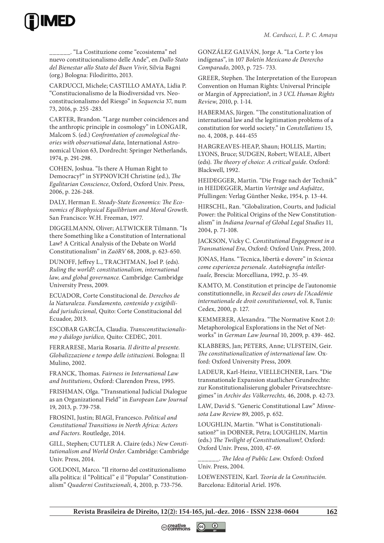

\_\_\_\_\_\_. "La Costituzione come "ecosistema" nel nuevo constitucionalismo delle Ande", en *Dallo Stato del Bienestar allo Stato del Buen Vivir*, Silvia Bagni (org.) Bologna: Filodiritto, 2013.

CARDUCCI, Michele; CASTILLO AMAYA, Lidia P. "Constitucionalismo de la Biodiversidad vrs. Neoconstitucionalismo del Riesgo" in *Sequencia* 37, num 73, 2016, p. 255 -283.

CARTER, Brandon. "Large number coincidences and the anthropic principle in cosmology" in LONGAIR, Malcom S. (ed.) *Confrontation of cosmological theories with observational data*, International Astronomical Union 63, Dordrecht: Springer Netherlands, 1974, p. 291-298.

COHEN, Joshua. "Is there A Human Right to Democracy?" in SYPNOVICH Christine (ed.), *The Egalitarian Conscience*, Oxford, Oxford Univ. Press, 2006, p. 226-248.

DALY, Herman E. *Steady-State Economics: The Economics of Biophysical Equilibrium and Moral Growth*. San Francisco: W.H. Freeman, 1977.

DIGGELMANN, Oliver; ALTWICKER Tilmann. "Is there Something like a Constitution of International Law? A Critical Analysis of the Debate on World Constitutionalism" in *ZaöRV* 68, 2008, p. 623-650.

DUNOFF, Jeffrey L., TRACHTMAN, Joel P. (eds). *Ruling the world?: constitutionalism, international law, and global governance.* Cambridge: Cambridge University Press, 2009.

ECUADOR, Corte Constitucional de. *Derechos de la Naturaleza. Fundamento, contenido y exigibilidad jurisdiccional,* Quito: Corte Constitucional del Ecuador, 2013.

ESCOBAR GARCÍA, Claudia. *Transconstitucionalismo y diálogo jurídico,* Quito: CEDEC, 2011.

FERRARESE, Maria Rosaria. *Il diritto al presente. Globalizzazione e tempo delle istituzioni*. Bologna: Il Mulino, 2002.

FRANCK, Thomas. *Fairness in International Law and Institutions,* Oxford: Clarendon Press, 1995.

FRISHMAN, Olga. "Transnational Judicial Dialogue as an Organizational Field" in *European Law Journal* 19, 2013, p. 739-758.

FROSINI, Justin; BIAGI, Francesco. *Political and Constitutional Transitions in North Africa: Actors and Factors.* Routledge, 2014.

GILL, Stephen; CUTLER A. Claire (eds.) *New Constitutionalism and World Order*. Cambridge: Cambridge Univ. Press, 2014.

GOLDONI, Marco. "Il ritorno del costituzionalismo alla politica: il "Political" e il "Popular" Constitutionalism" *Quaderni Costituzionali*, 4, 2010, p. 733-756.

GONZÁLEZ GALVÁN, Jorge A. "La Corte y los indígenas", in 107 *Boletín Mexicano de Derercho Comparado*, 2003, p. 725- 733.

GREER, Stephen. The Interpretation of the European Convention on Human Rights: Universal Principle or Margin of Appreciation?, in *3 UCL Human Rights Review*, 2010, p. 1-14.

HABERMAS, Jürgen. "The constitutionalization of international law and the legitimation problems of a constitution for world society." in *Constellations* 15, no. 4, 2008, p. 444-455

HARGREAVES-HEAP, Shaun; HOLLIS, Martin; LYONS, Bruce; SUDGEN, Robert; WEALE, Albert (eds). *The theory of choice: A critical guide.* Oxford: Blackwell, 1992.

HEIDEGGER, Martin. "Die Frage nach der Technik" in HEIDEGGER, Martin *Vorträge und Aufsätze*, Pfullingen: Verlag Günther Neske, 1954, p. 13-44.

HIRSCHL, Ran. "Globalization, Courts, and Judicial Power: the Political Origins of the New Constitutionalism" in *Indiana Journal of Global Legal Studies* 11, 2004, p. 71-108.

JACKSON, Vicky C. *Constitutional Engagement in a Transnational Era*, Oxford: Oxford Univ. Press, 2010.

JONAS, Hans. "Tecnica, libertà e dovere" in *Scienza come esperienza personale. Autobiografia intellettuale,* Brescia: Morcelliana, 1992, p. 35-49.

KAMTO, M. Constitution et principe de l'autonomie constitutionnelle, in *Recueil des cours de l'Académie internationale de droit constitutionnel*, vol. 8, Tunis: Cedex, 2000, p. 127.

KEMMERER, Alexandra. "The Normative Knot 2.0: Metaphorological Explorations in the Net of Networks" in *German Law Journal* 10, 2009, p. 439- 462.

KLABBERS, Jan; PETERS, Anne; ULFSTEIN, Geir. *The constitutionalization of international law.* Oxford: Oxford University Press, 2009.

LADEUR, Karl-Heinz, VIELLECHNER, Lars. "Die transnationale Expansion staatlicher Grundrechte: zur Konstitutionalisierung globaler Privatsrechtsregimes*"* in *Archiv des Völkerrechts,* 46, 2008, p. 42-73.

LAW, David S. "Generic Constitutional Law" *Minnesota Law Review* 89, 2005, p. 652.

LOUGHLIN, Martin. "What is Constitutionalisation?" in DOBNER, Petra; LOUGHLIN, Martin (eds.) *The Twilight of Constitutionalism?,* Oxford: Oxford Univ. Press, 2010, 47-69.

\_\_\_\_\_\_. *The Idea of Public Law*. Oxford: Oxford Univ. Press, 2004.

LOEWENSTEIN, Karl. *Teoría de la Constitución.*  Barcelona: Editorial Ariel. 1976.

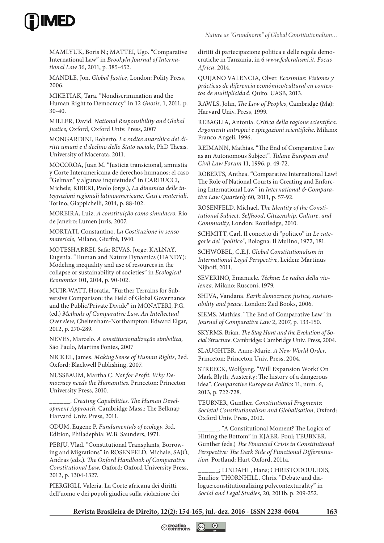

*Nature as "Grundnorm" of Global Constitutionalism…*

MAMLYUK, Boris N.; MATTEI, Ugo. "Comparative International Law" in *Brookyln Journal of International Law* 36, 2011, p. 385-452.

MANDLE, Jon. *Global Justice*, London: Polity Press, 2006.

MIKETIAK, Tara. "Nondiscrimination and the Human Right to Democracy" in 12 *Gnosis,* 1, 2011, p. 30-40.

MILLER, David. *National Responsibility and Global Justice*, Oxford, Oxford Univ. Press, 2007

MONGARDINI, Roberto. *La radice anarchica dei diritti umani e il declino dello Stato sociale*, PhD Thesis. University of Macerata, 2011.

MOCOROA, Juan M. "Justicia transicional, amnistia y Corte Interamericana de derechos humanos: el caso "Gelman" y algunas inquietudes" in CARDUCCI, Michele; RIBERI, Paolo (orgs.), *La dinamica delle integrazioni regionali latinoamericane. Casi e materiali,*  Torino, Giappichelli, 2014, p. 88-102.

MOREIRA, Luiz. *A constituição como simulacro*. Rio de Janeiro: Lumen Juris, 2007.

MORTATI, Constantino. L*a Costituzione in senso materiale*, Milano, Giuffrè, 1940.

MOTESHARREI, Safa; RIVAS, Jorge; KALNAY, Eugenia. "Human and Nature Dynamics (HANDY): Modeling inequality and use of resources in the collapse or sustainability of societies" in *Ecological Economics* 101, 2014, p. 90-102.

MUIR-WATT, Horatia. "Further Terrains for Subversive Comparison: the Field of Global Governance and the Public/Private Divide" in MONATERI, P.G. (ed.) *Methods of Comparative Law. An Intellectual Overview,* Cheltenham-Northampton: Edward Elgar, 2012, p. 270-289.

NEVES, Marcelo. *A constitucionalização simbólica,* São Paulo, Martins Fontes, 2007

NICKEL, James. *Making Sense of Human Rights*, 2ed. Oxford: Blackwell Publishing, 2007.

NUSSBAUM, Martha C. *Not for Profit. Why Democracy needs the Humanities*. Princeton: Princeton University Press, 2010.

\_\_\_\_\_\_. *Creating Capabilities. The Human Development Approach*. Cambridge Mass.: The Belknap Harvard Univ. Press, 2011.

ODUM, Eugene P. *Fundamentals of ecology*, 3rd. Edition, Philadephia: W.B. Saunders, 1971.

PERJU, Vlad. "Constitutional Transplants, Borrowing and Migrations" in ROSENFELD, Michale; SAJÓ, Andras (eds.). *The Oxford Handbook of Comparative Constitutional Law*, Oxford: Oxford University Press, 2012, p. 1304-1327.

PIERGIGLI, Valeria. La Corte africana dei diritti dell'uomo e dei popoli giudica sulla violazione dei diritti di partecipazione politica e delle regole democratiche in Tanzania, in 6 *www.federalismi.it, Focus Africa*, 2014.

QUIJANO VALENCIA, Olver. *Ecosimías: Visiones y prácticas de diferencia económico/cultural en contextos de multiplicidad.* Quito: UASB, 2013.

RAWLS, John, *The Law of Peoples*, Cambridge (Ma): Harvard Univ. Press, 1999.

REBAGLIA, Antonia. *Critica della ragione scientifica. Argomenti antropici e spiegazioni scientifiche*. Milano: Franco Angeli, 1996.

REIMANN, Mathias. "The End of Comparative Law as an Autonomous Subject". *Tulane European and Civil Law Forum* 11, 1996, p. 49-72.

ROBERTS, Anthea. "Comparative International Law? The Role of National Courts in Creating and Enforcing International Law" in *International & Comparative Law Quarterly* 60, 2011, p. 57-92.

ROSENFELD, Michael. T*he Identity of the Constitutional Subject. Selfhood, Citizenship, Culture, and Community,* London: Routledge, 2010.

SCHMITT, Carl. Il concetto di "politico" in *Le categorie del "politico"*, Bologna: Il Mulino, 1972, 181.

SCHWÖBEL, C.E.J. *Global Constitutionalism in International Legal Perspective*, Leiden: Martinus Nijhoff, 2011.

SEVERINO, Emanuele. *Téchne: Le radici della violenza*. Milano: Rusconi, 1979.

SHIVA, Vandana. *Earth democracy: justice, sustainability and peace*. London: Zed Books, 2006.

SIEMS, Mathias. "The End of Comparative Law" in *Journal of Comparative Law* 2, 2007, p. 133-150.

SKYRMS, Brian. *The Stag Hunt and the Evolution of Social Structure*. Cambridge: Cambridge Univ. Press, 2004.

SLAUGHTER, Anne-Marie. *A New World Order*, Princeton: Princeton Univ. Press, 2004.

STREECK, Wolfgang. "Will Expansion Work? On Mark Blyth, Austerity: The history of a dangerous idea". *Comparative European Politics* 11, num. 6, 2013, p. 722-728.

TEUBNER, Gunther. *Constitutional Fragments: Societal Constitutionalism and Globalisation,* Oxford: Oxford Univ. Press, 2012.

\_\_\_\_\_\_. "A Constitutional Moment? The Logics of Hitting the Bottom" in KJAER, Poul; TEUBNER, Gunther (eds.) *The Financial Crisis in Constitutional Perspective: The Dark Side of Functional Differentiation,* Portland: Hart Oxford, 2011a.

\_\_\_\_\_\_; LINDAHL, Hans; CHRISTODOULIDIS, Emilios; THORNHILL, Chris. "Debate and dialogue:constitutionalizing polycontexturality" in *Social and Legal Studies,* 20, 2011b. p. 209-252.

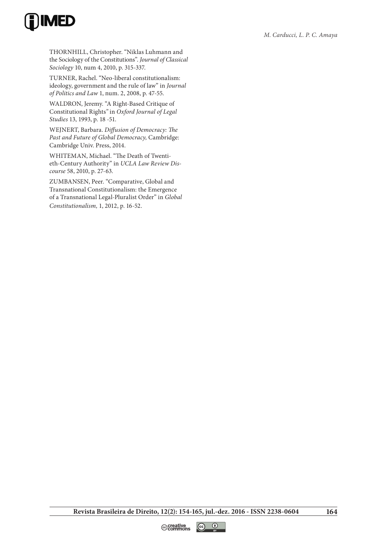

THORNHILL, Christopher. "Niklas Luhmann and the Sociology of the Constitutions". *Journal of Classical Sociology* 10, num 4, 2010, p. 315-337.

TURNER, Rachel. "Neo-liberal constitutionalism: ideology, government and the rule of law" in *Journal of Politics and Law* 1, num. 2, 2008, p. 47-55.

WALDRON, Jeremy. "A Right-Based Critique of Constitutional Rights*"* in *Oxford Journal of Legal Studies* 13, 1993, p. 18 -51.

WEJNERT, Barbara. *Diffusion of Democracy: The Past and Future of Global Democracy,* Cambridge: Cambridge Univ. Press, 2014.

WHITEMAN, Michael. "The Death of Twentieth-Century Authority" in *UCLA Law Review Discourse* 58, 2010, p. 27-63.

ZUMBANSEN, Peer. "Comparative, Global and Transnational Constitutionalism: the Emergence of a Transnational Legal-Pluralist Order" in *Global Constitutionalism,* 1, 2012, p. 16-52.